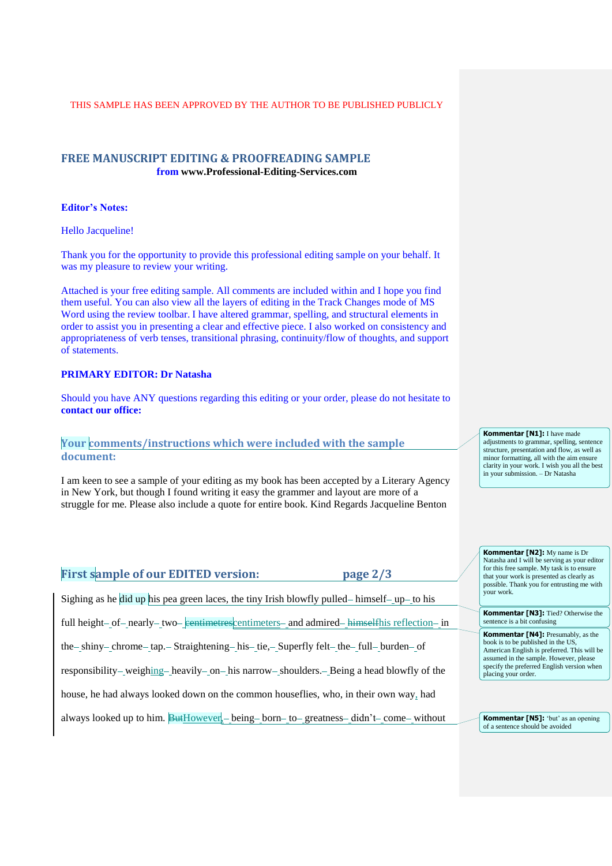# **FREE MANUSCRIPT EDITING & PROOFREADING SAMPLE from www.Professional-Editing-Services.com**

### **Editor's Notes:**

Hello Jacqueline!

Thank you for the opportunity to provide this professional editing sample on your behalf. It was my pleasure to review your writing.

Attached is your free editing sample. All comments are included within and I hope you find them useful. You can also view all the layers of editing in the Track Changes mode of MS Word using the review toolbar. I have altered grammar, spelling, and structural elements in order to assist you in presenting a clear and effective piece. I also worked on consistency and appropriateness of verb tenses, transitional phrasing, continuity/flow of thoughts, and support of statements.

## **PRIMARY EDITOR: Dr Natasha**

Should you have ANY questions regarding this editing or your order, please do not hesitate to **contact our office:** 

# **Your comments/instructions which were included with the sample document:**

I am keen to see a sample of your editing as my book has been accepted by a Literary Agency in New York, but though I found writing it easy the grammer and layout are more of a struggle for me. Please also include a quote for entire book. Kind Regards Jacqueline Benton

# **First sample of our EDITED version: page 2/3** Sighing as he did up his pea green laces, the tiny Irish blowfly pulled—himself—up—to his full height- of- nearly- two- centimetres centimeters- and admired-himselfhis reflection- in the - shiny - chrome - tap. - Straightening - his - tie, - Superfly felt - the - full - burden - of

responsibility— weighing— heavily— on— his narrow— shoulders. — Being a head blowfly of the

house, he had always looked down on the common houseflies, who, in their own way, had

always looked up to him.  $\frac{But}{W}$  being born to greatness - didn't come without

**Kommentar [N1]:** I have made adjustments to grammar, spelling, sentence structure, presentation and flow, as well as minor formatting, all with the aim ensure clarity in your work. I wish you all the best in your submission. – Dr Natasha

**Kommentar [N2]:** My name is Dr Natasha and I will be serving as your editor for this free sample. My task is to ensure that your work is presented as clearly as possible. Thank you for entrusting me with your work.

**Kommentar [N3]:** Tied? Otherwise the sentence is a bit confusing

**Kommentar [N4]:** Presumably, as the book is to be published in the US, American English is preferred. This will be assumed in the sample. However, please specify the preferred English version when placing your order.

**Kommentar [N5]:** 'but' as an opening of a sentence should be avoided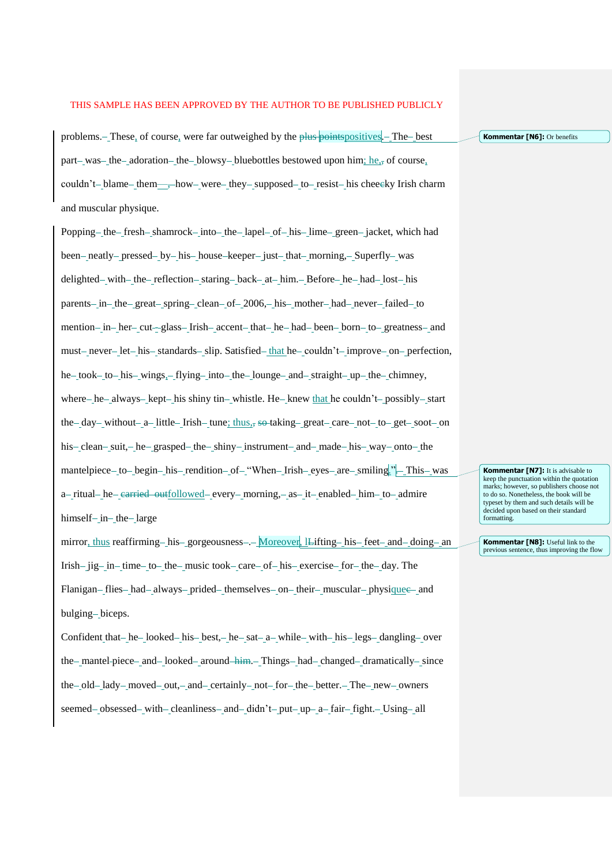problems. These, of course, were far outweighed by the plus points positives. The best part—was—the—adoration—the—blowsy--bluebottles bestowed upon him; he, $\frac{1}{2}$  of course, couldn't blame them—, how were they supposed to resist his cheecky Irish charm and muscular physique.

Popping – the fresh – shamrock – into – the lapel – of – his – lime – green – jacket, which had been-neatly-pressed-by-his-house-keeper-just-that-morning,-Superfly-was delighted – with – the – reflection – staring – back – at – him. – Before – he – had – lost – his parents-in-the-great-spring-clean-of-2006,-his-mother-had-never-failed-to mention-in-her-cut--glass-Irish-accent-that-he-had-been-born-to-greatness-and must-never-let-his-standards-slip. Satisfied that he couldn't improve on perfection, he-took-to-his-wings,-flying-into-the-lounge-and-straight-up-the-chimney, where – he always – kept – his shiny tin – whistle. He – knew that he couldn't – possibly – start the - day - without - a - little - Irish - tune; thus,  $\frac{1}{2}$  so taking - great - care - not - to - get - soot - on his - clean - suit, - he - grasped - the - shiny - instrument - and - made - his - way - onto - the mantelpiece – to – begin – his – rendition – of – "When – Irish – eyes – are – smiling." – This – was a-ritual-he-carried outfollowed-every-morning,-as-it-enabled-him-to-admire himself- in-the-large

mirror, thus reaffirming—his—gorgeousness—. Moreover, lLifting—his—feet—and—doing—an Irish -  $\mu$ ig in time to the music took care of his exercise for the day. The Flanigan-flies-had-always-prided-themselves-on-their-muscular-physiquee-and bulging-biceps.

Confident that  $-$  he  $-$  looked  $-$  his  $-$  best,  $-$  he  $-$  sat  $-$  a  $-$  while  $-$  with  $-$  his  $-$  legs  $-$  dangling  $-$  over the mantel-piece and looked around him. Things had changed dramatically since the-old-lady-moved-out,-and-certainly-not-for-the-better.-The-new-owners seemed-obsessed-with-cleanliness-and-didn't-put-up-a-fair-fight.-Using-all

**Kommentar [N7]:** It is advisable to keep the punctuation within the quotation marks; however, so publishers choose not to do so. Nonetheless, the book will be typeset by them and such details will be decided upon based on their standard formatting.

**Kommentar [N8]:** Useful link to the previous sentence, thus improving the flow

**Kommentar [N6]:** Or benefits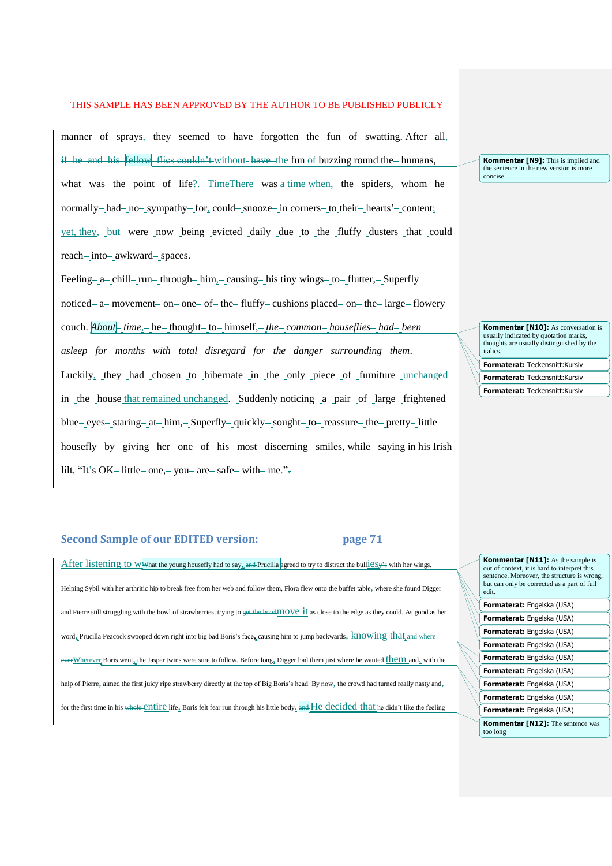manner- of-sprays, - they-seemed-to-have forgotten the fun-of-swatting. After-all, if he and his  $\frac{1}{2}$  fellow flies couldn't without have the fun of buzzing round the humans, what – was – the point – of – life?  $\leftarrow$  TimeThere – was a time when $\leftarrow$  the – spiders, – whom – he normally - had - no - sympathy - for, could - snooze - in corners - to their - hearts' - content; yet, they-but-were-now-being-evicted-daily-due-to-the-fluffy-dusters-that-could reach-into-awkward-spaces.

Feeling - a chill - run - through - him, - causing - his tiny wings - to - flutter, - Superfly noticed—a—movement—on—one—of—the—fluffy—cushions placed—on—the—large—flowery couch. *About* time<sub>s</sub> he thought to himself, *the common houseflies had been asleep for months with total disregard for the danger surrounding them*. Luckily $_{2}$  they had chosen to hibernate in the only piece of furniture unchanged in - the house that remained unchanged. - Suddenly noticing - a - pair - of - large - frightened blue – eyes – staring – at – him, – Superfly – quickly – sought – to – reassure – the – pretty – little housefly - by - giving - her - one - of - his - most - discerning - smiles, while - saying in his Irish lilt, "It's OK-little-one, - you - are - safe with - me.".

# **Second Sample of our EDITED version: page 71**

After listening to WW hat the young housefly had to say, and Prucilla agreed to try to distract the bull  $2s$ y's with her wings. Helping Sybil with her arthritic hip to break free from her web and follow them, Flora flew onto the buffet table, where she found Digger and Pierre still struggling with the bowl of strawberries, trying to get the bowlmove it as close to the edge as they could. As good as her word<sub>a</sub> Prucilla Peacock swooped down right into big bad Boris's face, causing him to jump backwards,  $\frac{1}{100}$  knowing that everWherever Boris went<sub>a</sub> the Jasper twins were sure to follow. Before long<sub>a</sub> Digger had them just where he wanted them and, with the help of Pierre, aimed the first juicy ripe strawberry directly at the top of Big Boris's head. By now, the crowd had turned really nasty and, for the first time in his whole entire life, Boris felt fear run through his little body. and He decided that he didn't like the feeling

**Kommentar [N9]:** This is implied and the sentence in the new version is more concise

**Kommentar [N10]:** As conversation is usually indicated by quotation marks, thoughts are usually distinguished by the italics.

**Formaterat:** Teckensnitt:Kursiv **Formaterat:** Teckensnitt:Kursiv

**Formaterat:** Teckensnitt:Kursiv

| <b>Kommentar [N11]:</b> As the sample is<br>out of context, it is hard to interpret this<br>sentence. Moreover, the structure is wrong,<br>but can only be corrected as a part of full<br>edit. |
|-------------------------------------------------------------------------------------------------------------------------------------------------------------------------------------------------|
| <b>Formaterat:</b> Engelska (USA)                                                                                                                                                               |
| Formaterat: Engelska (USA)                                                                                                                                                                      |
| <b>Formaterat:</b> Engelska (USA)                                                                                                                                                               |
| <b>Formaterat:</b> Engelska (USA)                                                                                                                                                               |
| Formaterat: Engelska (USA)                                                                                                                                                                      |
| Formaterat: Engelska (USA)                                                                                                                                                                      |
| <b>Formaterat:</b> Engelska (USA)                                                                                                                                                               |
| Formaterat: Engelska (USA)                                                                                                                                                                      |
| Formaterat: Engelska (USA)                                                                                                                                                                      |
| <b>Kommentar [N12]:</b> The sentence was<br>too long                                                                                                                                            |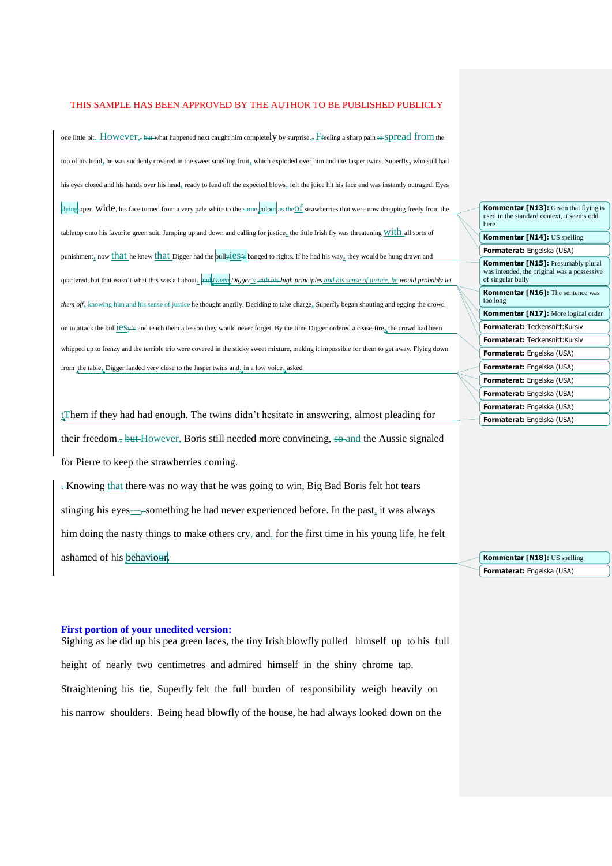one little bit. HOWEVEL, but what happened next caught him completely by surprise. Ffeeling a sharp pain to Spread from the top of his head<sub>2</sub> he was suddenly covered in the sweet smelling fruit<sub>2</sub> which exploded over him and the Jasper twins. Superfly, who still had his eyes closed and his hands over his head, ready to fend off the expected blows, felt the juice hit his face and was instantly outraged. Eyes Flying open WICE, his face turned from a very pale white to the same colour as the Of strawberries that were now dropping freely from the tabletop onto his favorite green suit. Jumping up and down and calling for justice, the little Irish fly was threatening  $\frac{\text{with}}{\text{all}}$  all sorts of punishment, now that he knew that Digger had the bullyies's banged to rights. If he had his way, they would be hung drawn and quartered, but that wasn't what this was all about. and *Given Digger's* with his high principles *and his sense of justice, he would probably let them off*, knowing him and his sense of justice he thought angrily. Deciding to take charge, Superfly began shouting and egging the crowd on to attack the bull $\underline{i}$  est  $y^2$ s and teach them a lesson they would never forget. By the time Digger ordered a cease-fire<sub> $\frac{x}{4}$ </sub> the crowd had been whipped up to frenzy and the terrible trio were covered in the sticky sweet mixture, making it impossible for them to get away. Flying down from the table, Digger landed very close to the Jasper twins and, in a low voice, asked

tThem if they had had enough. The twins didn't hesitate in answering, almost pleading for their freedom., but However, Boris still needed more convincing, so and the Aussie signaled for Pierre to keep the strawberries coming.

-Knowing that there was no way that he was going to win, Big Bad Boris felt hot tears stinging his eyes—, something he had never experienced before. In the past, it was always him doing the nasty things to make others cry, and, for the first time in his young life, he felt ashamed of his behaviour.

#### **First portion of your unedited version:**

Sighing as he did up his pea green laces, the tiny Irish blowfly pulled himself up to his full height of nearly two centimetres and admired himself in the shiny chrome tap. Straightening his tie, Superfly felt the full burden of responsibility weigh heavily on his narrow shoulders. Being head blowfly of the house, he had always looked down on the

| <b>Kommentar [N13]:</b> Given that flying is<br>used in the standard context, it seems odd<br>here            |
|---------------------------------------------------------------------------------------------------------------|
| <b>Kommentar [N14]: US spelling</b>                                                                           |
| <b>Formaterat:</b> Engelska (USA)                                                                             |
| <b>Kommentar [N15]:</b> Presumably plural<br>was intended, the original was a possessive<br>of singular bully |
| <b>Kommentar [N16]:</b> The sentence was<br>too long                                                          |
| <b>Kommentar [N17]:</b> More logical order                                                                    |
| <b>Formaterat: Teckensnitt: Kursiv</b>                                                                        |
| Formaterat: Teckensnitt: Kursiv                                                                               |
| <b>Formaterat:</b> Engelska (USA)                                                                             |
| <b>Formaterat:</b> Engelska (USA)                                                                             |
| <b>Formaterat:</b> Engelska (USA)                                                                             |
| Formaterat: Engelska (USA)                                                                                    |
| <b>Formaterat:</b> Engelska (USA)                                                                             |
| <b>Formaterat:</b> Engelska (USA)                                                                             |

**Formaterat:** Engelska (USA) **Kommentar [N18]:** US spelling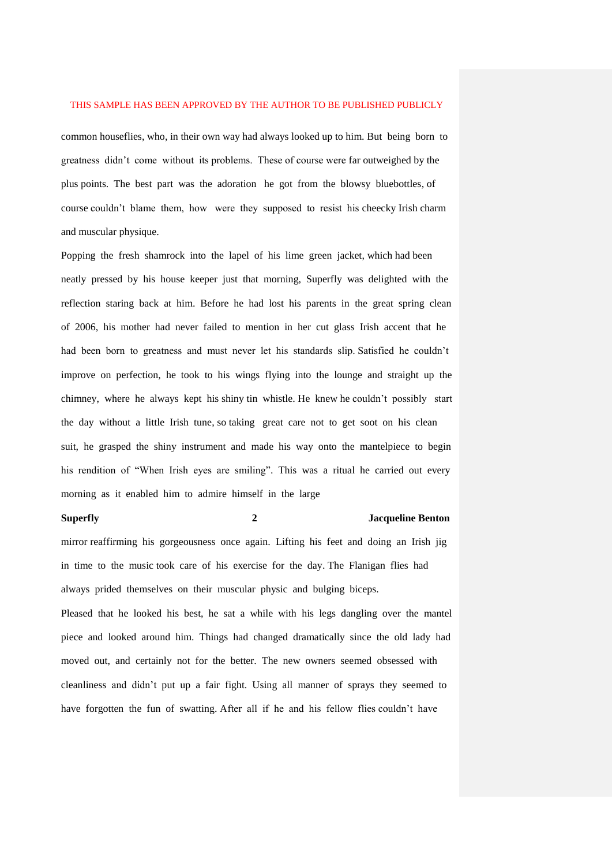common houseflies, who, in their own way had always looked up to him. But being born to greatness didn't come without its problems. These of course were far outweighed by the plus points. The best part was the adoration he got from the blowsy bluebottles, of course couldn't blame them, how were they supposed to resist his cheecky Irish charm and muscular physique.

Popping the fresh shamrock into the lapel of his lime green jacket, which had been neatly pressed by his house keeper just that morning, Superfly was delighted with the reflection staring back at him. Before he had lost his parents in the great spring clean of 2006, his mother had never failed to mention in her cut glass Irish accent that he had been born to greatness and must never let his standards slip. Satisfied he couldn't improve on perfection, he took to his wings flying into the lounge and straight up the chimney, where he always kept his shiny tin whistle. He knew he couldn't possibly start the day without a little Irish tune, so taking great care not to get soot on his clean suit, he grasped the shiny instrument and made his way onto the mantelpiece to begin his rendition of "When Irish eyes are smiling". This was a ritual he carried out every morning as it enabled him to admire himself in the large

# **Superfly 2 Jacqueline Benton**

mirror reaffirming his gorgeousness once again. Lifting his feet and doing an Irish jig in time to the music took care of his exercise for the day. The Flanigan flies had always prided themselves on their muscular physic and bulging biceps.

Pleased that he looked his best, he sat a while with his legs dangling over the mantel piece and looked around him. Things had changed dramatically since the old lady had moved out, and certainly not for the better. The new owners seemed obsessed with cleanliness and didn't put up a fair fight. Using all manner of sprays they seemed to have forgotten the fun of swatting. After all if he and his fellow flies couldn't have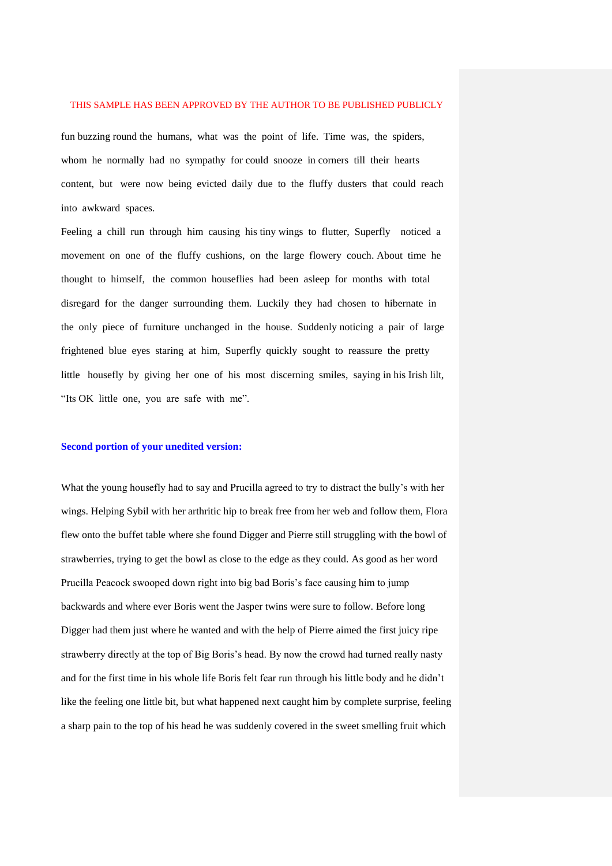fun buzzing round the humans, what was the point of life. Time was, the spiders, whom he normally had no sympathy for could snooze in corners till their hearts content, but were now being evicted daily due to the fluffy dusters that could reach into awkward spaces.

Feeling a chill run through him causing his tiny wings to flutter, Superfly noticed a movement on one of the fluffy cushions, on the large flowery couch. About time he thought to himself, the common houseflies had been asleep for months with total disregard for the danger surrounding them. Luckily they had chosen to hibernate in the only piece of furniture unchanged in the house. Suddenly noticing a pair of large frightened blue eyes staring at him, Superfly quickly sought to reassure the pretty little housefly by giving her one of his most discerning smiles, saying in his Irish lilt, "Its OK little one, you are safe with me".

#### **Second portion of your unedited version:**

What the young housefly had to say and Prucilla agreed to try to distract the bully's with her wings. Helping Sybil with her arthritic hip to break free from her web and follow them, Flora flew onto the buffet table where she found Digger and Pierre still struggling with the bowl of strawberries, trying to get the bowl as close to the edge as they could. As good as her word Prucilla Peacock swooped down right into big bad Boris's face causing him to jump backwards and where ever Boris went the Jasper twins were sure to follow. Before long Digger had them just where he wanted and with the help of Pierre aimed the first juicy ripe strawberry directly at the top of Big Boris's head. By now the crowd had turned really nasty and for the first time in his whole life Boris felt fear run through his little body and he didn't like the feeling one little bit, but what happened next caught him by complete surprise, feeling a sharp pain to the top of his head he was suddenly covered in the sweet smelling fruit which